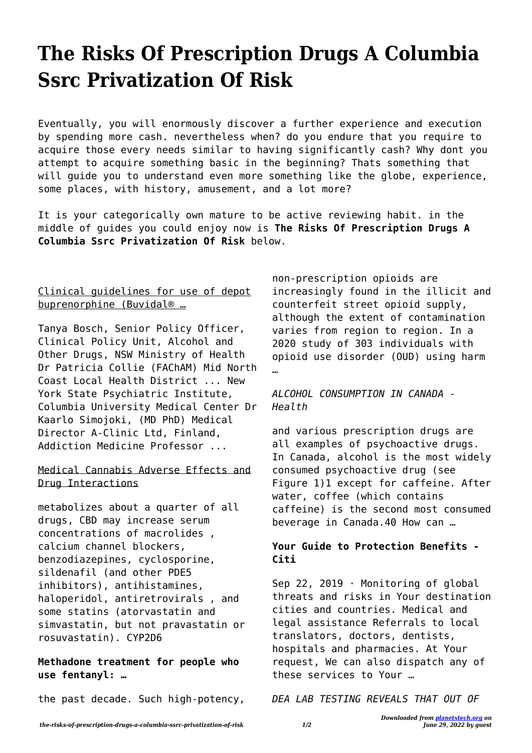# **The Risks Of Prescription Drugs A Columbia Ssrc Privatization Of Risk**

Eventually, you will enormously discover a further experience and execution by spending more cash. nevertheless when? do you endure that you require to acquire those every needs similar to having significantly cash? Why dont you attempt to acquire something basic in the beginning? Thats something that will guide you to understand even more something like the globe, experience, some places, with history, amusement, and a lot more?

It is your categorically own mature to be active reviewing habit. in the middle of guides you could enjoy now is **The Risks Of Prescription Drugs A Columbia Ssrc Privatization Of Risk** below.

## Clinical guidelines for use of depot buprenorphine (Buvidal® …

Tanya Bosch, Senior Policy Officer, Clinical Policy Unit, Alcohol and Other Drugs, NSW Ministry of Health Dr Patricia Collie (FAChAM) Mid North Coast Local Health District ... New York State Psychiatric Institute, Columbia University Medical Center Dr Kaarlo Simojoki, (MD PhD) Medical Director A-Clinic Ltd, Finland, Addiction Medicine Professor ...

#### Medical Cannabis Adverse Effects and Drug Interactions

metabolizes about a quarter of all drugs, CBD may increase serum concentrations of macrolides , calcium channel blockers, benzodiazepines, cyclosporine, sildenafil (and other PDE5 inhibitors), antihistamines, haloperidol, antiretrovirals , and some statins (atorvastatin and simvastatin, but not pravastatin or rosuvastatin). CYP2D6

#### **Methadone treatment for people who use fentanyl: …**

the past decade. Such high-potency,

non-prescription opioids are increasingly found in the illicit and counterfeit street opioid supply, although the extent of contamination varies from region to region. In a 2020 study of 303 individuals with opioid use disorder (OUD) using harm …

#### *ALCOHOL CONSUMPTION IN CANADA - Health*

and various prescription drugs are all examples of psychoactive drugs. In Canada, alcohol is the most widely consumed psychoactive drug (see Figure 1)1 except for caffeine. After water, coffee (which contains caffeine) is the second most consumed beverage in Canada.40 How can …

### **Your Guide to Protection Benefits - Citi**

Sep 22, 2019 · Monitoring of global threats and risks in Your destination cities and countries. Medical and legal assistance Referrals to local translators, doctors, dentists, hospitals and pharmacies. At Your request, We can also dispatch any of these services to Your …

*DEA LAB TESTING REVEALS THAT OUT OF*